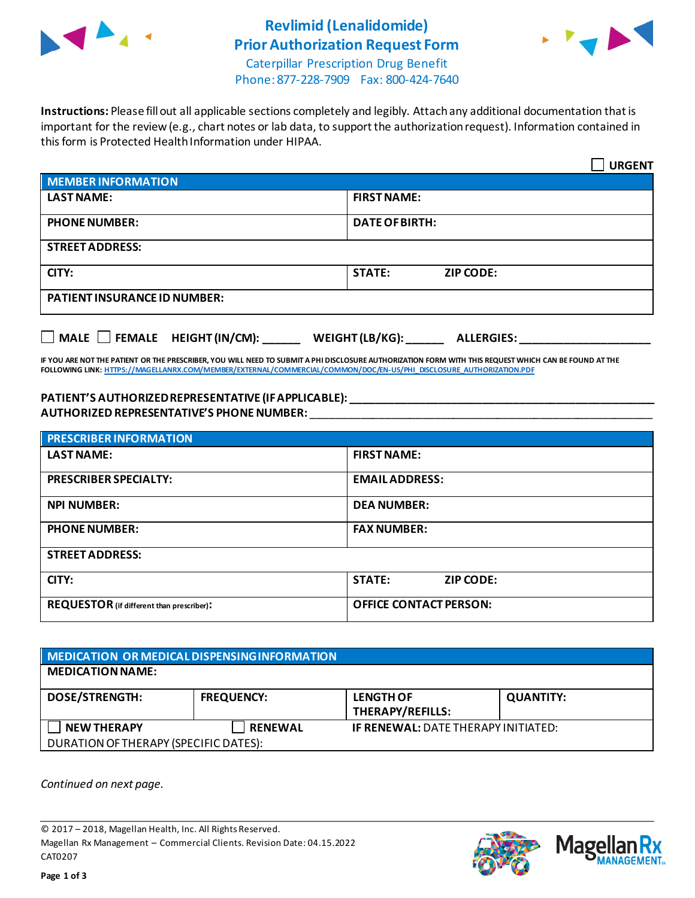

## **Revlimid (Lenalidomide) Prior Authorization Request Form**



Caterpillar Prescription Drug Benefit Phone: 877-228-7909 Fax: 800-424-7640

**Instructions:** Please fill out all applicable sections completely and legibly. Attach any additional documentation that is important for the review (e.g., chart notes or lab data, to support the authorization request). Information contained in this form is Protected Health Information under HIPAA.

|                                                                                                                                                                                                                                                                              | <b>URGENT</b>                     |  |  |  |
|------------------------------------------------------------------------------------------------------------------------------------------------------------------------------------------------------------------------------------------------------------------------------|-----------------------------------|--|--|--|
| <b>MEMBER INFORMATION</b>                                                                                                                                                                                                                                                    |                                   |  |  |  |
| <b>LAST NAME:</b>                                                                                                                                                                                                                                                            | <b>FIRST NAME:</b>                |  |  |  |
| <b>PHONE NUMBER:</b>                                                                                                                                                                                                                                                         | <b>DATE OF BIRTH:</b>             |  |  |  |
| <b>STREET ADDRESS:</b>                                                                                                                                                                                                                                                       |                                   |  |  |  |
| CITY:                                                                                                                                                                                                                                                                        | <b>STATE:</b><br><b>ZIP CODE:</b> |  |  |  |
| <b>PATIENT INSURANCE ID NUMBER:</b>                                                                                                                                                                                                                                          |                                   |  |  |  |
| $\Box$ MALE $\Box$ FEMALE HEIGHT (IN/CM): WEIGHT (LB/KG): ALLERGIES:                                                                                                                                                                                                         |                                   |  |  |  |
| IF YOU ARE NOT THE PATIENT OR THE PRESCRIBER, YOU WILL NEED TO SUBMIT A PHI DISCLOSURE AUTHORIZATION FORM WITH THIS REQUEST WHICH CAN BE FOUND AT THE<br>FOLLOWING LINK: HTTPS://MAGELLANRX.COM/MEMBER/EXTERNAL/COMMERCIAL/COMMON/DOC/EN-US/PHI DISCLOSURE AUTHORIZATION.PDF |                                   |  |  |  |
| PATIENT'S AUTHORIZED REPRESENTATIVE (IF APPLICABLE): NATIONAL AND THE SAME REPORT OF A SERIES OF A SERIES OF A<br>AUTHORIZED REPRESENTATIVE'S PHONE NUMBER:                                                                                                                  |                                   |  |  |  |
| <b>PRESCRIBER INFORMATION</b>                                                                                                                                                                                                                                                |                                   |  |  |  |

| <b>PRESCRIBER INFORMATION</b>                    |                                   |  |
|--------------------------------------------------|-----------------------------------|--|
| <b>LAST NAME:</b>                                | <b>FIRST NAME:</b>                |  |
| <b>PRESCRIBER SPECIALTY:</b>                     | <b>EMAILADDRESS:</b>              |  |
| <b>NPI NUMBER:</b>                               | <b>DEA NUMBER:</b>                |  |
| <b>PHONE NUMBER:</b>                             | <b>FAX NUMBER:</b>                |  |
| <b>STREET ADDRESS:</b>                           |                                   |  |
| CITY:                                            | <b>STATE:</b><br><b>ZIP CODE:</b> |  |
| <b>REQUESTOR</b> (if different than prescriber): | <b>OFFICE CONTACT PERSON:</b>     |  |

| <b>NEDICATION OR MEDICAL DISPENSING INFORMATION</b> |                   |                                             |                  |  |  |
|-----------------------------------------------------|-------------------|---------------------------------------------|------------------|--|--|
| <b>MEDICATION NAME:</b>                             |                   |                                             |                  |  |  |
| <b>DOSE/STRENGTH:</b>                               | <b>FREQUENCY:</b> | <b>LENGTH OF</b><br><b>THERAPY/REFILLS:</b> | <b>QUANTITY:</b> |  |  |
| <b>NEW THERAPY</b>                                  | <b>RENEWAL</b>    | <b>IF RENEWAL: DATE THERAPY INITIATED:</b>  |                  |  |  |
| DURATION OF THERAPY (SPECIFIC DATES):               |                   |                                             |                  |  |  |

*Continued on next page.*

© 2017 – 2018, Magellan Health, Inc. All Rights Reserved. Magellan Rx Management – Commercial Clients. Revision Date: 04.15.2022 CAT0207



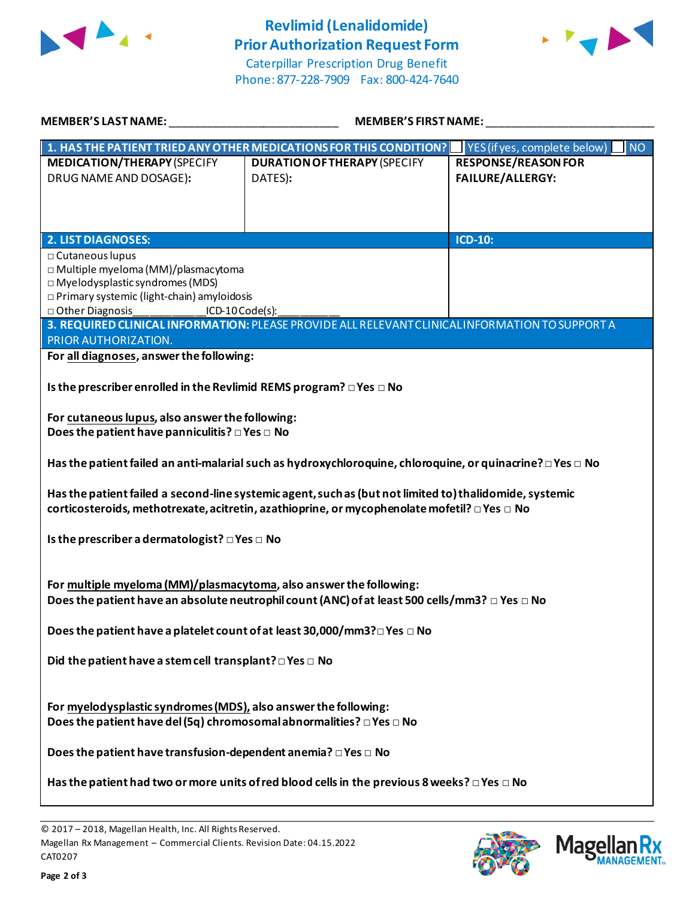

## **Revlimid (Lenalidomide) Prior Authorization Request Form**



Caterpillar Prescription Drug Benefit Phone: 877-228-7909 Fax: 800-424-7640

| <b>MEMBER'S LAST NAME:</b>                                                                             | <b>MEMBER'S FIRST NAME:</b>                                                                                |                                                     |  |  |
|--------------------------------------------------------------------------------------------------------|------------------------------------------------------------------------------------------------------------|-----------------------------------------------------|--|--|
|                                                                                                        | 1. HAS THE PATIENT TRIED ANY OTHER MEDICATIONS FOR THIS CONDITION?                                         | $\blacksquare$ NO<br>  YES (if yes, complete below) |  |  |
| <b>MEDICATION/THERAPY (SPECIFY</b>                                                                     | <b>DURATION OF THERAPY (SPECIFY</b>                                                                        | <b>RESPONSE/REASON FOR</b>                          |  |  |
| DRUG NAME AND DOSAGE):                                                                                 | DATES):                                                                                                    | FAILURE/ALLERGY:                                    |  |  |
|                                                                                                        |                                                                                                            |                                                     |  |  |
|                                                                                                        |                                                                                                            |                                                     |  |  |
| <b>2. LIST DIAGNOSES:</b>                                                                              |                                                                                                            | ICD-10:                                             |  |  |
| □ Cutaneous lupus                                                                                      |                                                                                                            |                                                     |  |  |
| □ Multiple myeloma (MM)/plasmacytoma<br>$\square$ Myelodysplastic syndromes (MDS)                      |                                                                                                            |                                                     |  |  |
| □ Primary systemic (light-chain) amyloidosis                                                           |                                                                                                            |                                                     |  |  |
| □ Other Diagnosis<br>□<br>$ICD-10Code(s):$                                                             |                                                                                                            |                                                     |  |  |
| PRIOR AUTHORIZATION.                                                                                   | 3. REQUIRED CLINICAL INFORMATION: PLEASE PROVIDE ALL RELEVANT CLINICAL INFORMATION TO SUPPORT A            |                                                     |  |  |
| For all diagnoses, answer the following:                                                               |                                                                                                            |                                                     |  |  |
| Is the prescriber enrolled in the Revlimid REMS program? □ Yes □ No                                    |                                                                                                            |                                                     |  |  |
| For cutaneous lupus, also answer the following:                                                        |                                                                                                            |                                                     |  |  |
| Does the patient have panniculitis? $\square$ Yes $\square$ No                                         |                                                                                                            |                                                     |  |  |
|                                                                                                        |                                                                                                            |                                                     |  |  |
|                                                                                                        | Has the patient failed an anti-malarial such as hydroxychloroquine, chloroquine, or quinacrine? □ Yes □ No |                                                     |  |  |
|                                                                                                        | Has the patient failed a second-line systemic agent, such as (but not limited to) thalidomide, systemic    |                                                     |  |  |
|                                                                                                        | corticosteroids, methotrexate, acitretin, azathioprine, or mycophenolate mofetil? □ Yes □ No               |                                                     |  |  |
|                                                                                                        |                                                                                                            |                                                     |  |  |
| Is the prescriber a dermatologist? $\square$ Yes $\square$ No                                          |                                                                                                            |                                                     |  |  |
|                                                                                                        |                                                                                                            |                                                     |  |  |
| For multiple myeloma (MM)/plasmacytoma, also answer the following:                                     |                                                                                                            |                                                     |  |  |
|                                                                                                        | Does the patient have an absolute neutrophil count (ANC) of at least 500 cells/mm3? $\Box$ Yes $\Box$ No   |                                                     |  |  |
| Does the patient have a platelet count of at least 30,000/mm3? □ Yes □ No                              |                                                                                                            |                                                     |  |  |
|                                                                                                        |                                                                                                            |                                                     |  |  |
| Did the patient have a stem cell transplant? $\Box$ Yes $\Box$ No                                      |                                                                                                            |                                                     |  |  |
|                                                                                                        |                                                                                                            |                                                     |  |  |
| For myelodysplastic syndromes (MDS), also answer the following:                                        |                                                                                                            |                                                     |  |  |
| Does the patient have del (5q) chromosomal abnormalities? $\square$ Yes $\square$ No                   |                                                                                                            |                                                     |  |  |
|                                                                                                        |                                                                                                            |                                                     |  |  |
| Does the patient have transfusion-dependent anemia? $\Box$ Yes $\Box$ No                               |                                                                                                            |                                                     |  |  |
| Has the patient had two or more units of red blood cells in the previous 8 weeks? $\Box$ Yes $\Box$ No |                                                                                                            |                                                     |  |  |
|                                                                                                        |                                                                                                            |                                                     |  |  |